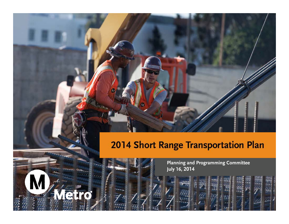#### 2014 Short Range Transportation Plan

**Planning and Programming Committee July 16, 2014**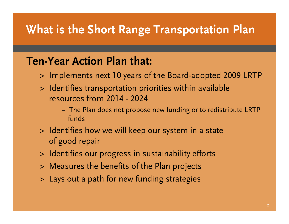## **What is the Short Range Transportation Plan**

#### **Ten-Year Action Plan that:**

- <sup>&</sup>gt; Implements next 10 years of the Board-adopted 2009 LRTP
- <sup>&</sup>gt; Identifies transportation priorities within available resources from 2014 - 2024
	- **–** The Plan does not propose new funding or to redistribute LRTP funds
- <sup>&</sup>gt; Identifies how we will keep our system in a state of good repair
- <sup>&</sup>gt; Identifies our progress in sustainability efforts
- <sup>&</sup>gt; Measures the benefits of the Plan projects
- <sup>&</sup>gt; Lays out a path for new funding strategies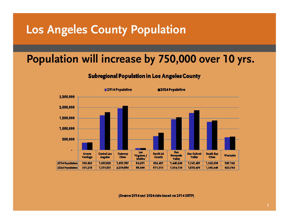### **Los Angeles County Population**

### **Population will increase by 750,000 over 10 yrs.**

#### **Subregional Population in Los Angeles County**



(Source: 2014 and 2024 data based on 2014 SRTP)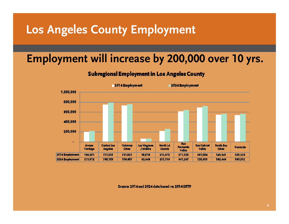### **Los Angeles County Employment**

#### **Employment will increase by 200,000 over 10 yrs.**

#### **Subregional Employment in Los Angeles County**



Source: 2014 and 2024 data based on 2014 SRTP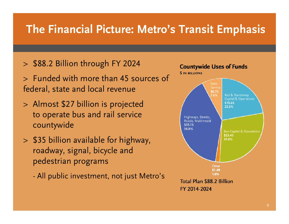## **The Financial Picture: Metro's Transit Emphasis**

- <sup>&</sup>gt; \$88.2 Billion through FY 2024
- <sup>&</sup>gt; Funded with more than 45 sources of federal, state and local revenue
- <sup>&</sup>gt; Almost \$27 billion is projected to operate bus and rail service countywide
- <sup>&</sup>gt; \$35 billion available for highway, roadway, signal, bicycle and pedestrian programs
	- All public investment, not just Metro's

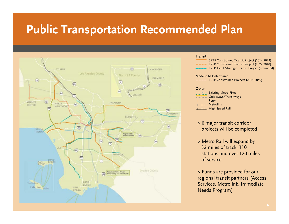# **Public Transportation Recommended Plan**



#### Transit

- SRTP Constrained Transit Project (2014-2024)
- **-** LRTP Constrained Transit Project (2024-2040)
- LRTP Tier 1 Strategic Transit Project (unfunded)

#### Mode to be Determined

- LRTP Constrained Projects (2014-2040)

#### **Other**

Existing Metro Fixed Guideways/Transitways Ferry Metrolink **High Speed Rail** 

- > 6 major transit corridor projects will be completed
- > Metro Rail will expand by 32 miles of track, 110 stations and over 120 milesof service

> Funds are provided for our regional transit partners (Access Services, Metrolink, Immediate Needs Program)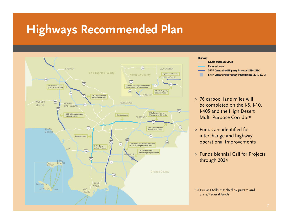# **Highways Recommended Plan**



#### Highway

- **Existing Carpool Lanes**
- **Express Lanes**
- SRTP Constrained Highway Projects (2014-2024)
- SRTP Constrained Freeway Interchanges (2014-2024)
- <sup>&</sup>gt; 76 carpool lane miles will be completed on the I-5, I-10, I-405 and the High Desert Multi-Purpose Corridor\*
- <sup>&</sup>gt; Funds are identified for interchange and highway operational improvements
- <sup>&</sup>gt; Funds biennial Call for Projects through 2024

<sup>\*</sup> Assumes tolls matched by private and State/Federal funds.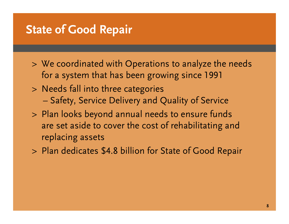#### **State of Good Repair**

- <sup>&</sup>gt; We coordinated with Operations to analyze the needs for a system that has been growing since 1991
- <sup>&</sup>gt; Needs fall into three categories Safety, Service Delivery and Quality of Service
- <sup>&</sup>gt; Plan looks beyond annual needs to ensure funds are set aside to cover the cost of rehabilitating and replacing assets
- <sup>&</sup>gt; Plan dedicates \$4.8 billion for State of Good Repair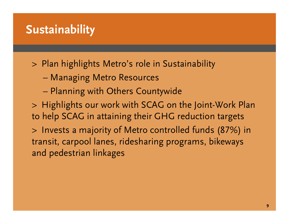## **Sustainability**

<sup>&</sup>gt; Plan highlights Metro's role in Sustainability

- Managing Metro Resources
- Planning with Others Countywide

<sup>&</sup>gt; Highlights our work with SCAG on the Joint-Work Plan to help SCAG in attaining their GHG reduction targets

<sup>&</sup>gt; Invests a majority of Metro controlled funds (87%) in transit, carpool lanes, ridesharing programs, bikeways and pedestrian linkages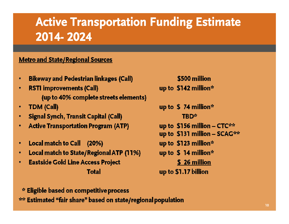# **Active Transportation Funding Estimate 2014- 2024**

#### **Metro and State/Regional Sources**

- **Bikeway and Pedestrian linkages (Call)**
- **RSTI improvements (Call)** ٠ (up to 40% complete streets elements)
- **TDM (Call)**
- **Signal Synch, Transit Capital (Call)**
- **Active Transportation Program (ATP)** ۰
- Local match to Call (20%) ٠
- **Local match to State/Regional ATP (11%)**  $\bullet$
- **Eastside Gold Line Access Project**  $\bullet$

#### **Total**

up to  $$142$  million\* up to  $$74$  million\* **TRD\*** up to \$156 million - CTC\*\* up to \$131 million - SCAG\*\* up to \$123 million\* up to  $$14$  million\* \$ 26 million up to \$1.17 billion

\$500 million

\* Eligible based on competitive process

\*\* Estimated "fair share" based on state/regional population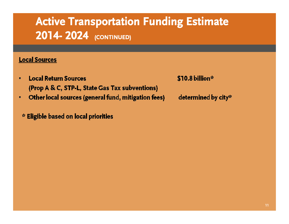# **Active Transportation Funding Estimate 2014- 2024 (CONTINUED)**

#### **Local Sources**

- **Local Return Sources** (Prop A & C, STP-L, State Gas Tax subventions)
- Other local sources (general fund, mitigation fees)  $\bullet$ 
	- \* Eligible based on local priorities

\$10.8 billion\*

determined by city\*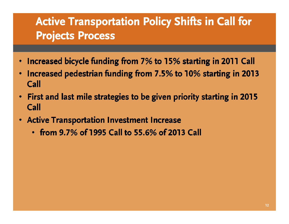# **Active Transportation Policy Shifts in Call for Projects Process**

- Increased bicycle funding from 7% to 15% starting in 2011 Call
- Increased pedestrian funding from 7.5% to 10% starting in 2013  $\bullet$ Call
- First and last mile strategies to be given priority starting in 2015 Call
- **Active Transportation Investment Increase** 
	- $\cdot$  from 9.7% of 1995 Call to 55.6% of 2013 Call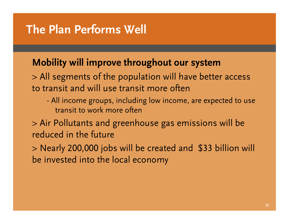## **The Plan Performs Well**

#### **Mobility will improve throughout our system**

> All segments of the population will have better access to transit and will use transit more often

- All income groups, including low income, are expected to use transit to work more often
- > Air Pollutants and greenhouse gas emissions will be reduced in the future
- > Nearly 200,000 jobs will be created and \$33 billion will be invested into the local economy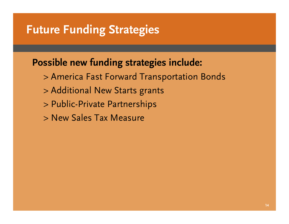### **Future Funding Strategies**

#### **Possible new funding strategies include:**

- > America Fast Forward Transportation Bonds
- > Additional New Starts grants
- > Public-Private Partnerships
- > New Sales Tax Measure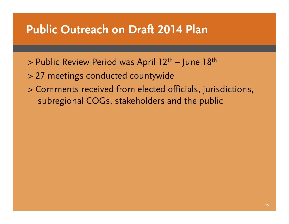### **Public Outreach on Draft 2014 Plan**

- > Public Review Period was April 12th June 18t<sup>h</sup>
- > 27 meetings conducted countywide
- > Comments received from elected officials, jurisdictions, subregional COGs, stakeholders and the public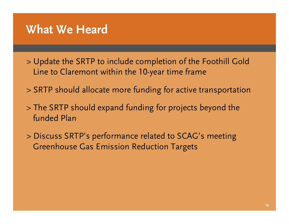#### **What We Heard**

- > Update the SRTP to include completion of the Foothill Gold Line to Claremont within the 10-year time frame
- > SRTP should allocate more funding for active transportation
- > The SRTP should expand funding for projects beyond the funded Plan
- > Discuss SRTP's performance related to SCAG's meeting Greenhouse Gas Emission Reduction Targets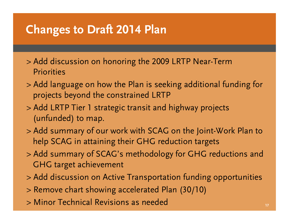# **Changes to Draft 2014 Plan**

- > Add discussion on honoring the 2009 LRTP Near-Term **Priorities**
- > Add language on how the Plan is seeking additional funding for projects beyond the constrained LRTP
- > Add LRTP Tier 1 strategic transit and highway projects (unfunded) to map.
- > Add summary of our work with SCAG on the Joint-Work Plan to help SCAG in attaining their GHG reduction targets
- > Add summary of SCAG's methodology for GHG reductions and GHG target achievement
- > Add discussion on Active Transportation funding opportunities
- > Remove chart showing accelerated Plan (30/10)
- > Minor Technical Revisions as needed**17**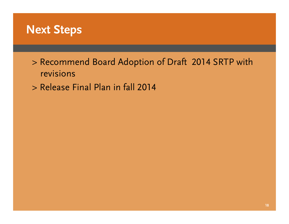

> Recommend Board Adoption of Draft 2014 SRTP with revisions

> Release Final Plan in fall 2014